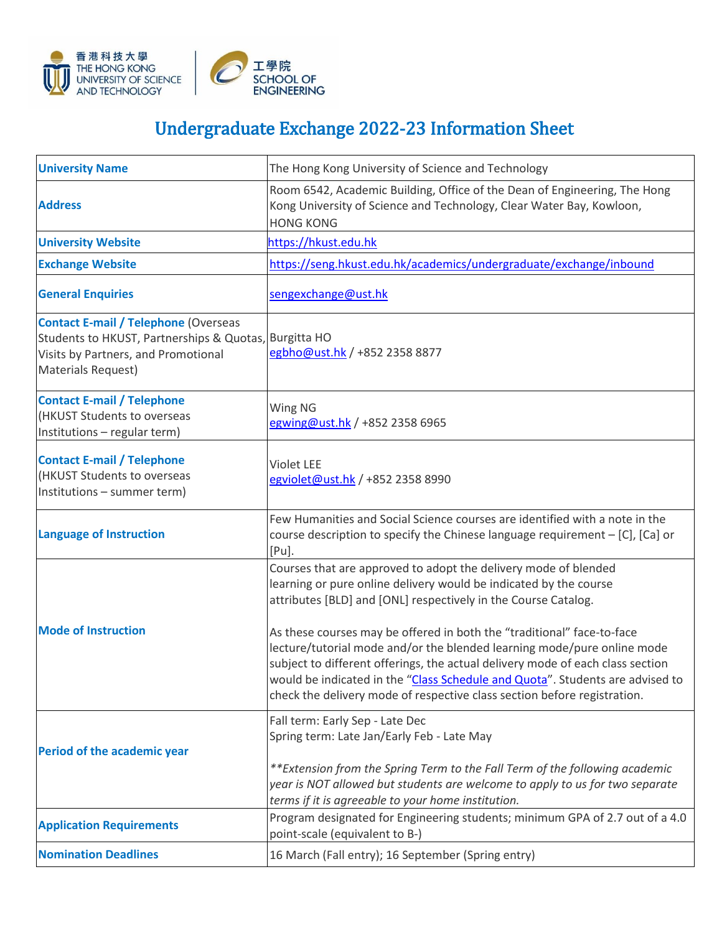

## Undergraduate Exchange 2022-23 Information Sheet

| <b>University Name</b>                                                                                                                                            | The Hong Kong University of Science and Technology                                                                                                                                                                                                                                                                     |
|-------------------------------------------------------------------------------------------------------------------------------------------------------------------|------------------------------------------------------------------------------------------------------------------------------------------------------------------------------------------------------------------------------------------------------------------------------------------------------------------------|
| <b>Address</b>                                                                                                                                                    | Room 6542, Academic Building, Office of the Dean of Engineering, The Hong<br>Kong University of Science and Technology, Clear Water Bay, Kowloon,<br><b>HONG KONG</b>                                                                                                                                                  |
| <b>University Website</b>                                                                                                                                         | https://hkust.edu.hk                                                                                                                                                                                                                                                                                                   |
| <b>Exchange Website</b>                                                                                                                                           | https://seng.hkust.edu.hk/academics/undergraduate/exchange/inbound                                                                                                                                                                                                                                                     |
| <b>General Enquiries</b>                                                                                                                                          | sengexchange@ust.hk                                                                                                                                                                                                                                                                                                    |
| <b>Contact E-mail / Telephone (Overseas</b><br>Students to HKUST, Partnerships & Quotas, Burgitta HO<br>Visits by Partners, and Promotional<br>Materials Request) | egbho@ust.hk / +852 2358 8877                                                                                                                                                                                                                                                                                          |
| <b>Contact E-mail / Telephone</b><br>(HKUST Students to overseas<br>Institutions - regular term)                                                                  | Wing NG<br>egwing@ust.hk / +852 2358 6965                                                                                                                                                                                                                                                                              |
| <b>Contact E-mail / Telephone</b><br>(HKUST Students to overseas<br>Institutions - summer term)                                                                   | <b>Violet LEE</b><br>egviolet@ust.hk / +852 2358 8990                                                                                                                                                                                                                                                                  |
| <b>Language of Instruction</b>                                                                                                                                    | Few Humanities and Social Science courses are identified with a note in the<br>course description to specify the Chinese language requirement - [C], [Ca] or<br>[Pu].                                                                                                                                                  |
| <b>Mode of Instruction</b>                                                                                                                                        | Courses that are approved to adopt the delivery mode of blended<br>learning or pure online delivery would be indicated by the course<br>attributes [BLD] and [ONL] respectively in the Course Catalog.<br>As these courses may be offered in both the "traditional" face-to-face                                       |
|                                                                                                                                                                   | lecture/tutorial mode and/or the blended learning mode/pure online mode<br>subject to different offerings, the actual delivery mode of each class section<br>would be indicated in the "Class Schedule and Quota". Students are advised to<br>check the delivery mode of respective class section before registration. |
| Period of the academic year                                                                                                                                       | Fall term: Early Sep - Late Dec<br>Spring term: Late Jan/Early Feb - Late May                                                                                                                                                                                                                                          |
|                                                                                                                                                                   | ** Extension from the Spring Term to the Fall Term of the following academic<br>year is NOT allowed but students are welcome to apply to us for two separate<br>terms if it is agreeable to your home institution.                                                                                                     |
| <b>Application Requirements</b>                                                                                                                                   | Program designated for Engineering students; minimum GPA of 2.7 out of a 4.0<br>point-scale (equivalent to B-)                                                                                                                                                                                                         |
| <b>Nomination Deadlines</b>                                                                                                                                       | 16 March (Fall entry); 16 September (Spring entry)                                                                                                                                                                                                                                                                     |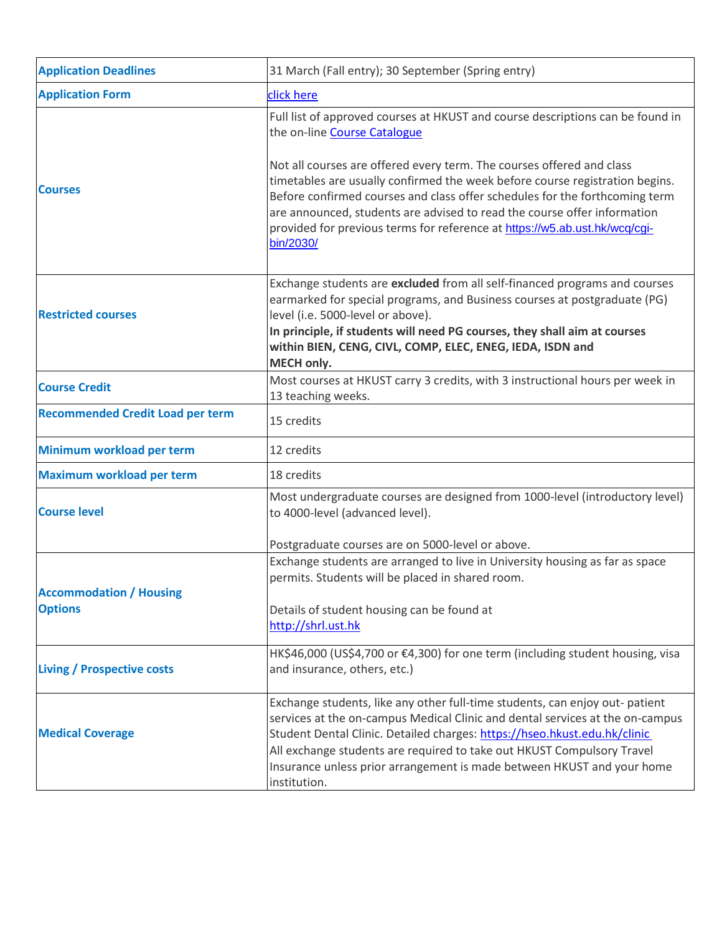| <b>Application Deadlines</b>                     | 31 March (Fall entry); 30 September (Spring entry)                                                                                                                                                                                                                                                                                                                                                             |
|--------------------------------------------------|----------------------------------------------------------------------------------------------------------------------------------------------------------------------------------------------------------------------------------------------------------------------------------------------------------------------------------------------------------------------------------------------------------------|
| <b>Application Form</b>                          | click here                                                                                                                                                                                                                                                                                                                                                                                                     |
| <b>Courses</b>                                   | Full list of approved courses at HKUST and course descriptions can be found in<br>the on-line Course Catalogue                                                                                                                                                                                                                                                                                                 |
|                                                  | Not all courses are offered every term. The courses offered and class<br>timetables are usually confirmed the week before course registration begins.<br>Before confirmed courses and class offer schedules for the forthcoming term<br>are announced, students are advised to read the course offer information<br>provided for previous terms for reference at https://w5.ab.ust.hk/wcq/cgi-<br>bin/2030/    |
| <b>Restricted courses</b>                        | Exchange students are excluded from all self-financed programs and courses<br>earmarked for special programs, and Business courses at postgraduate (PG)<br>level (i.e. 5000-level or above).<br>In principle, if students will need PG courses, they shall aim at courses<br>within BIEN, CENG, CIVL, COMP, ELEC, ENEG, IEDA, ISDN and<br>MECH only.                                                           |
| <b>Course Credit</b>                             | Most courses at HKUST carry 3 credits, with 3 instructional hours per week in<br>13 teaching weeks.                                                                                                                                                                                                                                                                                                            |
| <b>Recommended Credit Load per term</b>          | 15 credits                                                                                                                                                                                                                                                                                                                                                                                                     |
| Minimum workload per term                        | 12 credits                                                                                                                                                                                                                                                                                                                                                                                                     |
| Maximum workload per term                        | 18 credits                                                                                                                                                                                                                                                                                                                                                                                                     |
| <b>Course level</b>                              | Most undergraduate courses are designed from 1000-level (introductory level)<br>to 4000-level (advanced level).                                                                                                                                                                                                                                                                                                |
|                                                  | Postgraduate courses are on 5000-level or above.                                                                                                                                                                                                                                                                                                                                                               |
| <b>Accommodation / Housing</b><br><b>Options</b> | Exchange students are arranged to live in University housing as far as space<br>permits. Students will be placed in shared room.                                                                                                                                                                                                                                                                               |
|                                                  | Details of student housing can be found at<br>http://shrl.ust.hk                                                                                                                                                                                                                                                                                                                                               |
| <b>Living / Prospective costs</b>                | HK\$46,000 (US\$4,700 or €4,300) for one term (including student housing, visa<br>and insurance, others, etc.)                                                                                                                                                                                                                                                                                                 |
| <b>Medical Coverage</b>                          | Exchange students, like any other full-time students, can enjoy out- patient<br>services at the on-campus Medical Clinic and dental services at the on-campus<br>Student Dental Clinic. Detailed charges: https://hseo.hkust.edu.hk/clinic<br>All exchange students are required to take out HKUST Compulsory Travel<br>Insurance unless prior arrangement is made between HKUST and your home<br>institution. |